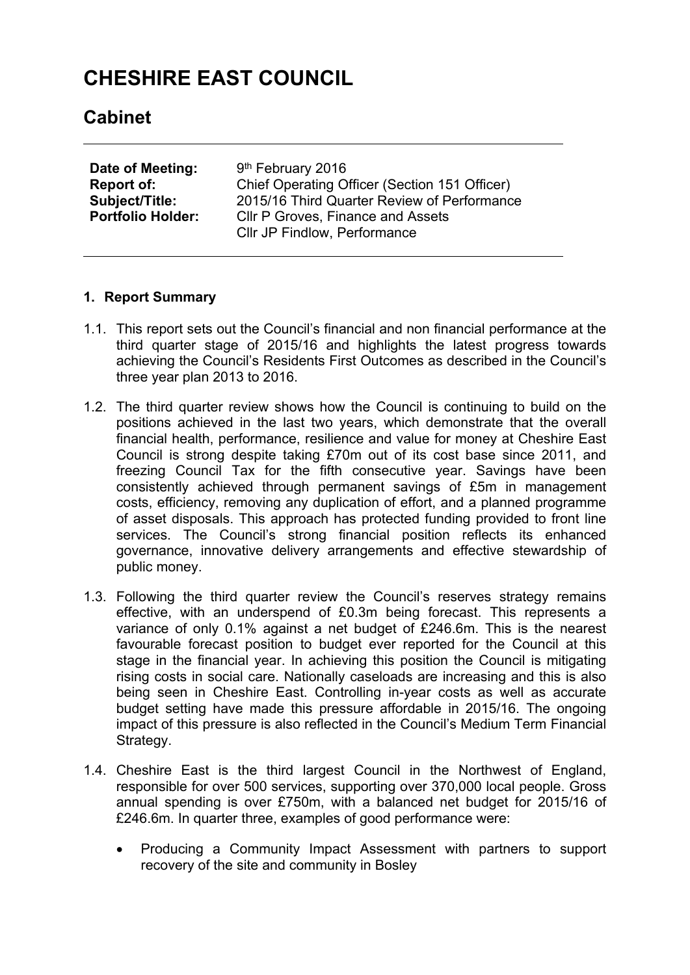# **CHESHIRE EAST COUNCIL**

## **Cabinet**

| Date of Meeting:<br><b>Report of:</b><br><b>Subject/Title:</b> | 9 <sup>th</sup> February 2016<br>Chief Operating Officer (Section 151 Officer)<br>2015/16 Third Quarter Review of Performance |
|----------------------------------------------------------------|-------------------------------------------------------------------------------------------------------------------------------|
| <b>Portfolio Holder:</b>                                       | <b>CIIr P Groves, Finance and Assets</b><br><b>CIIr JP Findlow, Performance</b>                                               |
|                                                                |                                                                                                                               |

#### **1. Report Summary**

- 1.1. This report sets out the Council's financial and non financial performance at the third quarter stage of 2015/16 and highlights the latest progress towards achieving the Council's Residents First Outcomes as described in the Council's three year plan 2013 to 2016.
- 1.2. The third quarter review shows how the Council is continuing to build on the positions achieved in the last two years, which demonstrate that the overall financial health, performance, resilience and value for money at Cheshire East Council is strong despite taking £70m out of its cost base since 2011, and freezing Council Tax for the fifth consecutive year. Savings have been consistently achieved through permanent savings of £5m in management costs, efficiency, removing any duplication of effort, and a planned programme of asset disposals. This approach has protected funding provided to front line services. The Council's strong financial position reflects its enhanced governance, innovative delivery arrangements and effective stewardship of public money.
- 1.3. Following the third quarter review the Council's reserves strategy remains effective, with an underspend of £0.3m being forecast. This represents a variance of only 0.1% against a net budget of £246.6m. This is the nearest favourable forecast position to budget ever reported for the Council at this stage in the financial year. In achieving this position the Council is mitigating rising costs in social care. Nationally caseloads are increasing and this is also being seen in Cheshire East. Controlling in-year costs as well as accurate budget setting have made this pressure affordable in 2015/16. The ongoing impact of this pressure is also reflected in the Council's Medium Term Financial Strategy.
- 1.4. Cheshire East is the third largest Council in the Northwest of England, responsible for over 500 services, supporting over 370,000 local people. Gross annual spending is over £750m, with a balanced net budget for 2015/16 of £246.6m. In quarter three, examples of good performance were:
	- Producing a Community Impact Assessment with partners to support recovery of the site and community in Bosley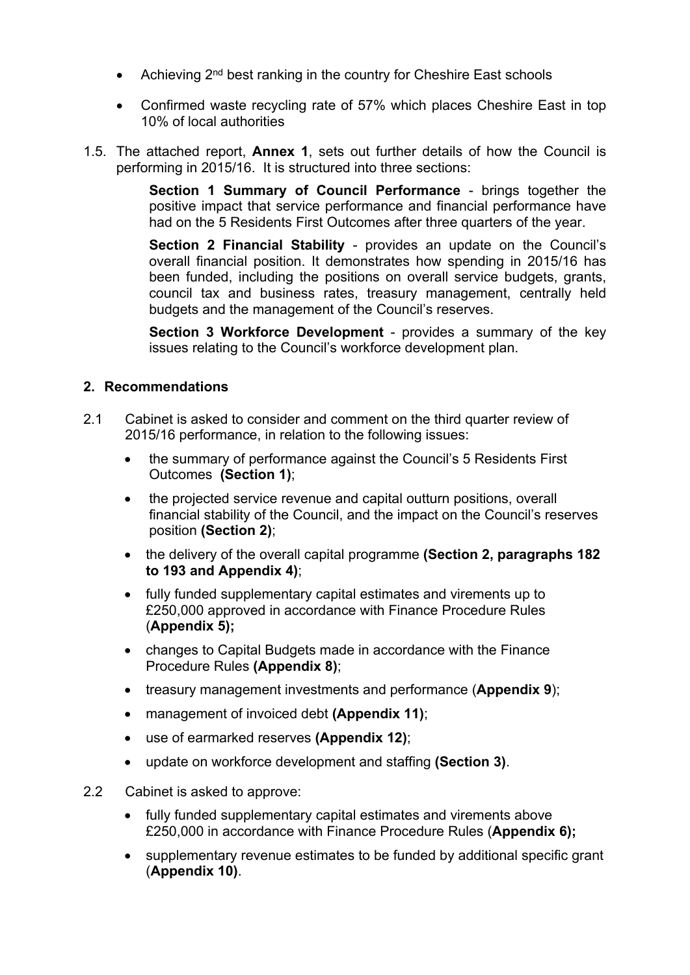- Achieving 2<sup>nd</sup> best ranking in the country for Cheshire East schools
- Confirmed waste recycling rate of 57% which places Cheshire East in top 10% of local authorities
- 1.5. The attached report, **Annex 1**, sets out further details of how the Council is performing in 2015/16. It is structured into three sections:

**Section 1 Summary of Council Performance** - brings together the positive impact that service performance and financial performance have had on the 5 Residents First Outcomes after three quarters of the year.

**Section 2 Financial Stability** - provides an update on the Council's overall financial position. It demonstrates how spending in 2015/16 has been funded, including the positions on overall service budgets, grants, council tax and business rates, treasury management, centrally held budgets and the management of the Council's reserves.

**Section 3 Workforce Development** - provides a summary of the key issues relating to the Council's workforce development plan.

#### **2. Recommendations**

- 2.1 Cabinet is asked to consider and comment on the third quarter review of 2015/16 performance, in relation to the following issues:
	- the summary of performance against the Council's 5 Residents First Outcomes **(Section 1)**;
	- the projected service revenue and capital outturn positions, overall financial stability of the Council, and the impact on the Council's reserves position **(Section 2)**;
	- the delivery of the overall capital programme **(Section 2, paragraphs 182 to 193 and Appendix 4)**;
	- fully funded supplementary capital estimates and virements up to £250,000 approved in accordance with Finance Procedure Rules (**Appendix 5);**
	- changes to Capital Budgets made in accordance with the Finance Procedure Rules **(Appendix 8)**;
	- treasury management investments and performance (**Appendix 9**);
	- management of invoiced debt **(Appendix 11)**;
	- use of earmarked reserves **(Appendix 12)**;
	- update on workforce development and staffing **(Section 3)**.
- 2.2 Cabinet is asked to approve:
	- fully funded supplementary capital estimates and virements above £250,000 in accordance with Finance Procedure Rules (**Appendix 6);**
	- supplementary revenue estimates to be funded by additional specific grant (**Appendix 10)**.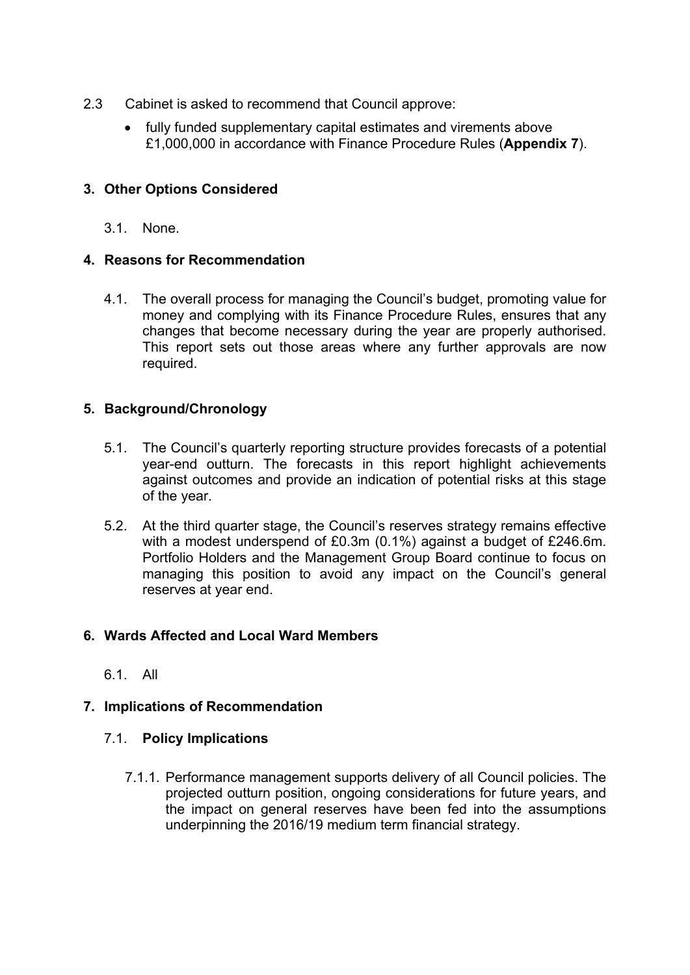- 2.3 Cabinet is asked to recommend that Council approve:
	- fully funded supplementary capital estimates and virements above £1,000,000 in accordance with Finance Procedure Rules (**Appendix 7**).

#### **3. Other Options Considered**

3.1. None.

#### **4. Reasons for Recommendation**

4.1. The overall process for managing the Council's budget, promoting value for money and complying with its Finance Procedure Rules, ensures that any changes that become necessary during the year are properly authorised. This report sets out those areas where any further approvals are now required.

#### **5. Background/Chronology**

- 5.1. The Council's quarterly reporting structure provides forecasts of a potential year-end outturn. The forecasts in this report highlight achievements against outcomes and provide an indication of potential risks at this stage of the year.
- 5.2. At the third quarter stage, the Council's reserves strategy remains effective with a modest underspend of £0.3m (0.1%) against a budget of £246.6m. Portfolio Holders and the Management Group Board continue to focus on managing this position to avoid any impact on the Council's general reserves at year end.

#### **6. Wards Affected and Local Ward Members**

6.1. All

#### **7. Implications of Recommendation**

#### 7.1. **Policy Implications**

7.1.1. Performance management supports delivery of all Council policies. The projected outturn position, ongoing considerations for future years, and the impact on general reserves have been fed into the assumptions underpinning the 2016/19 medium term financial strategy.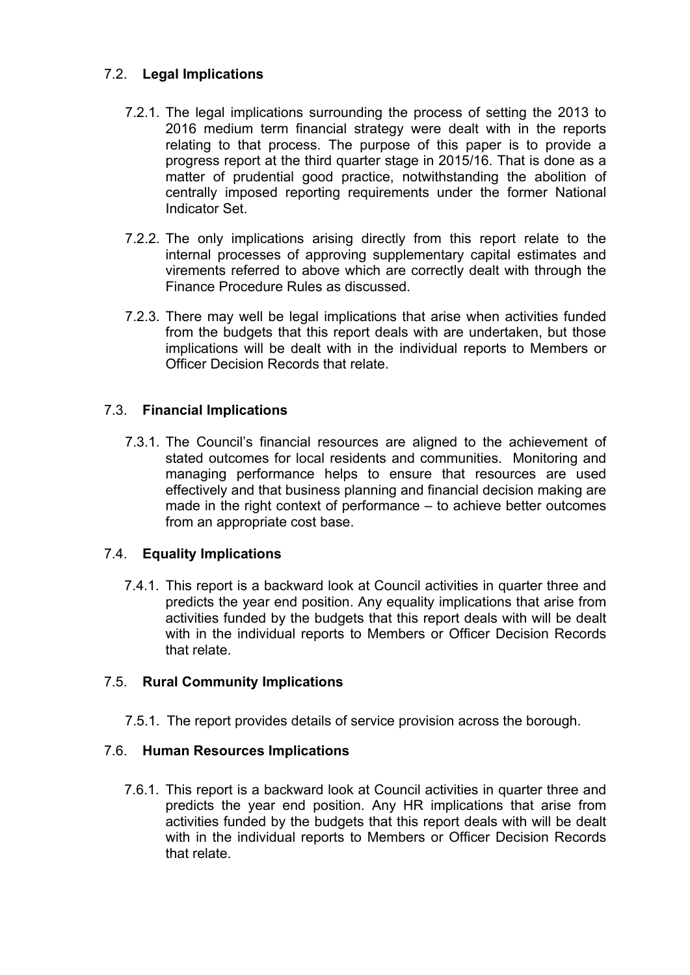#### 7.2. **Legal Implications**

- 7.2.1. The legal implications surrounding the process of setting the 2013 to 2016 medium term financial strategy were dealt with in the reports relating to that process. The purpose of this paper is to provide a progress report at the third quarter stage in 2015/16. That is done as a matter of prudential good practice, notwithstanding the abolition of centrally imposed reporting requirements under the former National Indicator Set.
- 7.2.2. The only implications arising directly from this report relate to the internal processes of approving supplementary capital estimates and virements referred to above which are correctly dealt with through the Finance Procedure Rules as discussed.
- 7.2.3. There may well be legal implications that arise when activities funded from the budgets that this report deals with are undertaken, but those implications will be dealt with in the individual reports to Members or Officer Decision Records that relate.

#### 7.3. **Financial Implications**

7.3.1. The Council's financial resources are aligned to the achievement of stated outcomes for local residents and communities. Monitoring and managing performance helps to ensure that resources are used effectively and that business planning and financial decision making are made in the right context of performance – to achieve better outcomes from an appropriate cost base.

#### 7.4. **Equality Implications**

7.4.1. This report is a backward look at Council activities in quarter three and predicts the year end position. Any equality implications that arise from activities funded by the budgets that this report deals with will be dealt with in the individual reports to Members or Officer Decision Records that relate.

#### 7.5. **Rural Community Implications**

7.5.1. The report provides details of service provision across the borough.

### 7.6. **Human Resources Implications**

7.6.1. This report is a backward look at Council activities in quarter three and predicts the year end position. Any HR implications that arise from activities funded by the budgets that this report deals with will be dealt with in the individual reports to Members or Officer Decision Records that relate.